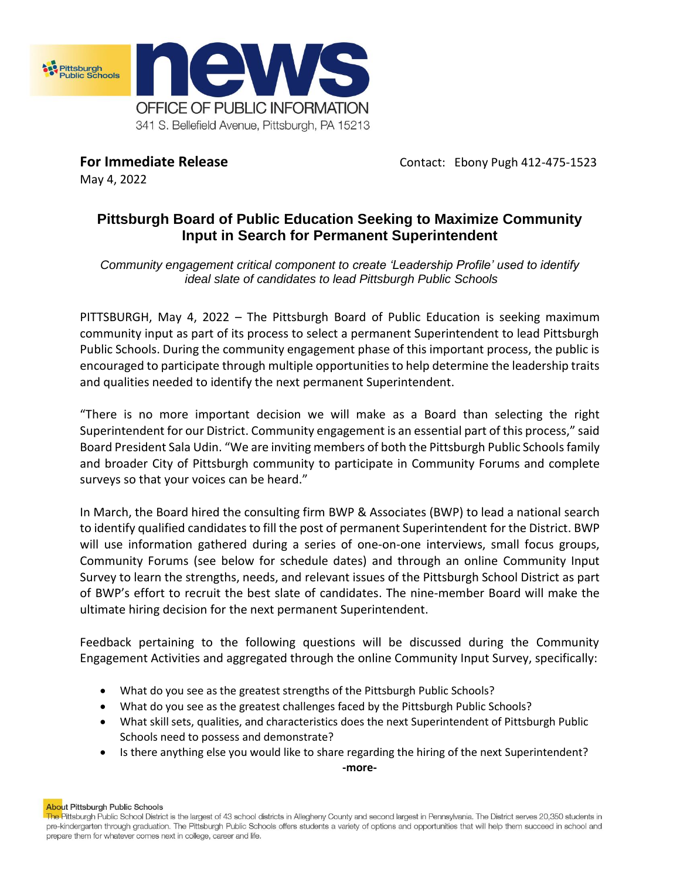

May 4, 2022

**For Immediate Release Contact: Ebony Pugh 412-475-1523** 

# **Pittsburgh Board of Public Education Seeking to Maximize Community Input in Search for Permanent Superintendent**

*Community engagement critical component to create 'Leadership Profile' used to identify ideal slate of candidates to lead Pittsburgh Public Schools* 

PITTSBURGH, May 4, 2022 – The Pittsburgh Board of Public Education is seeking maximum community input as part of its process to select a permanent Superintendent to lead Pittsburgh Public Schools. During the community engagement phase of this important process, the public is encouraged to participate through multiple opportunities to help determine the leadership traits and qualities needed to identify the next permanent Superintendent.

"There is no more important decision we will make as a Board than selecting the right Superintendent for our District. Community engagement is an essential part of this process," said Board President Sala Udin. "We are inviting members of both the Pittsburgh Public Schools family and broader City of Pittsburgh community to participate in Community Forums and complete surveys so that your voices can be heard."

In March, the Board hired the consulting firm BWP & Associates (BWP) to lead a national search to identify qualified candidates to fill the post of permanent Superintendent for the District. BWP will use information gathered during a series of one-on-one interviews, small focus groups, Community Forums (see below for schedule dates) and through an online Community Input Survey to learn the strengths, needs, and relevant issues of the Pittsburgh School District as part of BWP's effort to recruit the best slate of candidates. The nine-member Board will make the ultimate hiring decision for the next permanent Superintendent.

Feedback pertaining to the following questions will be discussed during the Community Engagement Activities and aggregated through the online Community Input Survey, specifically:

- What do you see as the greatest strengths of the Pittsburgh Public Schools?
- What do you see as the greatest challenges faced by the Pittsburgh Public Schools?
- What skill sets, qualities, and characteristics does the next Superintendent of Pittsburgh Public Schools need to possess and demonstrate?
- Is there anything else you would like to share regarding the hiring of the next Superintendent? **-more-**

About Pittsburgh Public Schools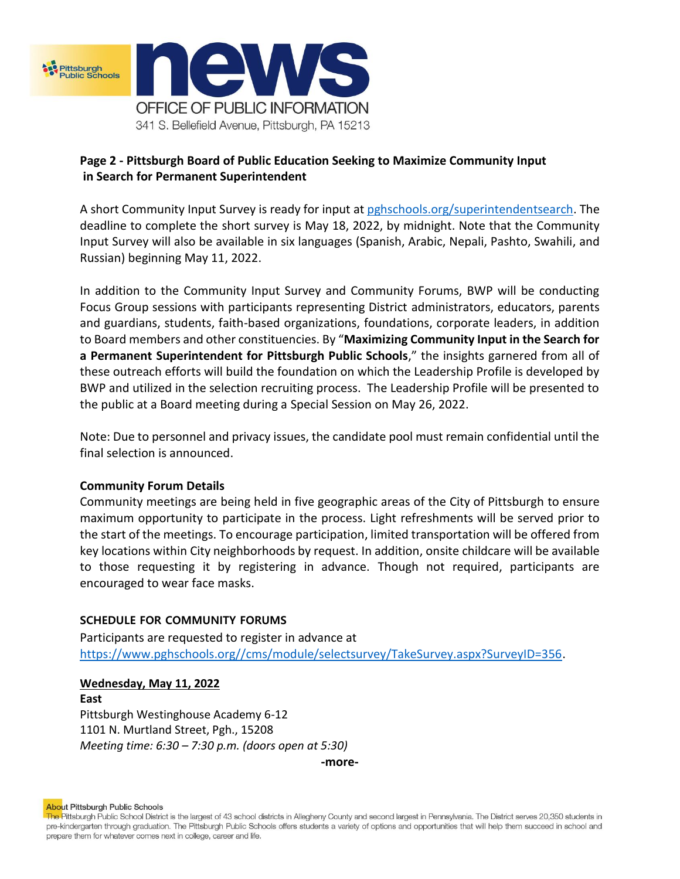

# **Page 2 - Pittsburgh Board of Public Education Seeking to Maximize Community Input in Search for Permanent Superintendent**

A short Community Input Survey is ready for input a[t pghschools.org/superintendentsearch.](https://www.pghschools.org/superintendent-search) The deadline to complete the short survey is May 18, 2022, by midnight. Note that the Community Input Survey will also be available in six languages (Spanish, Arabic, Nepali, Pashto, Swahili, and Russian) beginning May 11, 2022.

In addition to the Community Input Survey and Community Forums, BWP will be conducting Focus Group sessions with participants representing District administrators, educators, parents and guardians, students, faith-based organizations, foundations, corporate leaders, in addition to Board members and other constituencies. By "**Maximizing Community Input in the Search for a Permanent Superintendent for Pittsburgh Public Schools**," the insights garnered from all of these outreach efforts will build the foundation on which the Leadership Profile is developed by BWP and utilized in the selection recruiting process. The Leadership Profile will be presented to the public at a Board meeting during a Special Session on May 26, 2022.

Note: Due to personnel and privacy issues, the candidate pool must remain confidential until the final selection is announced.

## **Community Forum Details**

Community meetings are being held in five geographic areas of the City of Pittsburgh to ensure maximum opportunity to participate in the process. Light refreshments will be served prior to the start of the meetings. To encourage participation, limited transportation will be offered from key locations within City neighborhoods by request. In addition, onsite childcare will be available to those requesting it by registering in advance. Though not required, participants are encouraged to wear face masks.

## **SCHEDULE FOR COMMUNITY FORUMS**

Participants are requested to register in advance at [https://www.pghschools.org//cms/module/selectsurvey/TakeSurvey.aspx?SurveyID=356.](https://www.pghschools.org/cms/module/selectsurvey/TakeSurvey.aspx?SurveyID=356)

## **Wednesday, May 11, 2022**

**East**  Pittsburgh Westinghouse Academy 6-12 1101 N. Murtland Street, Pgh., 15208 *Meeting time: 6:30 – 7:30 p.m. (doors open at 5:30)* 

**-more-**